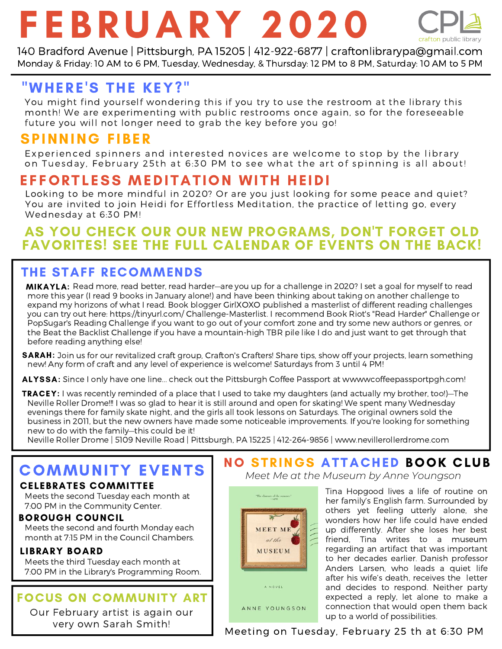# F E B RUARY 2020



140 Bradford Avenue | Pittsburgh, PA 15205 | 412-922-6877 | craftonlibrarypa@gmail.com Monday & Friday: 10 AM to 6 PM, Tuesday, Wednesday, & Thursday: 12 PM to 8 PM, Saturday: 10 AM to 5 PM

# "WHERE'S THE KEY?"

You might find yourself wondering this if you try to use the restroom at the library this month! We are experimenting with public restrooms once again, so for the foreseeable future you will not longer need to grab the key before you go!

## **SPINNING FIBER**

Experienced spinners and interested novices are welcome to stop by the library on Tuesday, February 25th at 6:30 PM to see what the art of spinning is all about!

# EFFORTLESS MEDITATION WITH HEIDI

Looking to be more mindful in 2020? Or are you just looking for some peace and quiet? You are invited to join Heidi for Effortless Meditation, the practice of letting go, every Wednesday at 6:30 PM!

### AS YOU CHECK OUR OUR NEW PROGRAMS, DON'T FORGET OLD FAVORITES! SEE THE FULL CALENDAR OF EVENTS ON THE BACK!

### THE STAFF RECOMMENDS

MIKAYLA: Read more, read better, read harder—are you up for a challenge in 2020? I set a goal for myself to read more this year (I read 9 books in January alone!) and have been thinking about taking on another challenge to expand my horizons of what I read. Book blogger GirlXOXO published a masterlist of different reading challenges you can try out here: https://tinyurl.com/ Challenge-Masterlist. I recommend Book Riot's "Read Harder" Challenge or PopSugar's Reading Challenge if you want to go out of your comfort zone and try some new authors or genres, or the Beat the Backlist Challenge if you have a mountain-high TBR pile like I do and just want to get through that before reading anything else!

SARAH: Join us for our revitalized craft group, Crafton's Crafters! Share tips, show off your projects, learn something new! Any form of craft and any level of experience is welcome! Saturdays from 3 until 4 PM!

ALYSSA: Since I only have one line... check out the Pittsburgh Coffee Passport at wwwwcoffeepassportpgh.com!

TRACEY: I was recently reminded of a place that I used to take my daughters (and actually my brother, too!)—The Neville Roller Drome!!! I was so glad to hear it is still around and open for skating! We spent many Wednesday evenings there for family skate night, and the girls all took lessons on Saturdays. The original owners sold the business in 2011, but the new owners have made some noticeable improvements. If you're looking for something new to do with the family—this could be it!

Neville Roller Drome | 5109 Neville Road | Pittsburgh, PA 15225 | 412-264-9856 | www.nevillerollerdrome.com

# COMMUNITY EVENTS

### CELEBRATES COMMITTEE

Meets the second Tuesday each month at 7:00 PM in the Community Center.

### BOROUGH COUNCIL

Meets the second and fourth Monday each month at 7:15 PM in the Council Chambers.

#### LIBRARY BOARD

Meets the third Tuesday each month at 7:00 PM in the Library's Programming Room.

### FOCUS ON COMMUNITY ART

Our February artist is again our very own Sarah Smith!



ANNE YOUNGSON

### NO STRINGS ATTACHED BOOK CLUB *Meet Me at the Museum by Anne Youngson*

Tina Hopgood lives a life of routine on her family's English farm. Surrounded by others yet feeling utterly alone, she wonders how her life could have ended up differently. After she loses her best friend, Tina writes to a museum regarding an artifact that was important to her decades earlier. Danish professor Anders Larsen, who leads a quiet life after his wife's death, receives the letter and decides to respond. Neither party expected a reply, let alone to make a connection that would open them back up to a world of possibilities.

Meeting on Tuesday, February 25 th at 6:30 PM